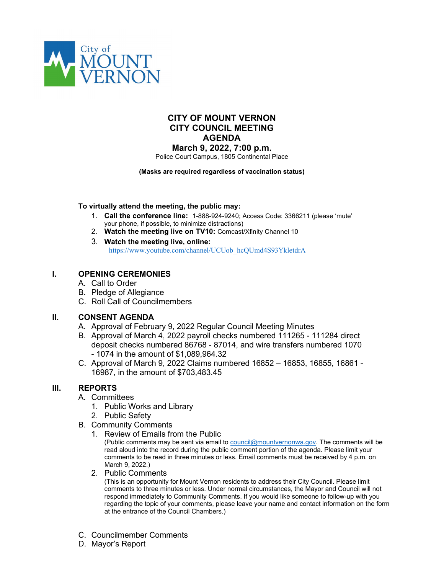

# **CITY OF MOUNT VERNON CITY COUNCIL MEETING AGENDA**

**March 9, 2022, 7:00 p.m.**

Police Court Campus, 1805 Continental Place

#### **(Masks are required regardless of vaccination status)**

### **To virtually attend the meeting, the public may:**

- 1. **Call the conference line:** 1-888-924-9240; Access Code: 3366211 (please 'mute' your phone, if possible, to minimize distractions)
- 2. **Watch the meeting live on TV10:** Comcast/Xfinity Channel 10
- 3. **Watch the meeting live, online:** [https://www.youtube.com/channel/UCUob\\_hcQUmd4S93YkletdrA](https://www.youtube.com/channel/UCUob_hcQUmd4S93YkletdrA)

## **I. OPENING CEREMONIES**

- A. Call to Order
- B. Pledge of Allegiance
- C. Roll Call of Councilmembers

## **II. CONSENT AGENDA**

- A. Approval of February 9, 2022 Regular Council Meeting Minutes
- B. Approval of March 4, 2022 payroll checks numbered 111265 111284 direct deposit checks numbered 86768 - 87014, and wire transfers numbered 1070 - 1074 in the amount of \$1,089,964.32
- C. Approval of March 9, 2022 Claims numbered 16852 16853, 16855, 16861 16987, in the amount of \$703,483.45

## **III. REPORTS**

### A. Committees

- 1. Public Works and Library
- 2. Public Safety
- B. Community Comments
	- 1. Review of Emails from the Public

(Public comments may be sent via email to **council@mountvernonwa.gov.** The comments will be read aloud into the record during the public comment portion of the agenda. Please limit your comments to be read in three minutes or less. Email comments must be received by 4 p.m. on March 9, 2022.)

2. Public Comments

(This is an opportunity for Mount Vernon residents to address their City Council. Please limit comments to three minutes or less. Under normal circumstances, the Mayor and Council will not respond immediately to Community Comments. If you would like someone to follow-up with you regarding the topic of your comments, please leave your name and contact information on the form at the entrance of the Council Chambers.)

- C. Councilmember Comments
- D. Mayor's Report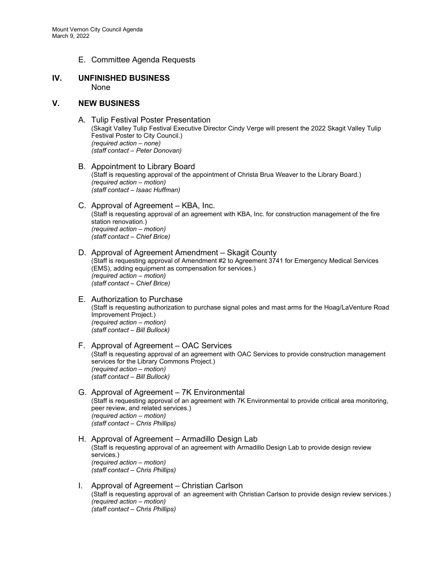E. Committee Agenda Requests

#### **IV. UNFINISHED BUSINESS** None

#### **V. NEW BUSINESS**

- A. Tulip Festival Poster Presentation (Skagit Valley Tulip Festival Executive Director Cindy Verge will present the 2022 Skagit Valley Tulip Festival Poster to City Council.) *(required action – none) (staff contact – Peter Donovan)*
- B. Appointment to Library Board (Staff is requesting approval of the appointment of Christa Brua Weaver to the Library Board.) *(required action – motion) (staff contact – Isaac Huffman)*
- C. Approval of Agreement KBA, Inc. (Staff is requesting approval of an agreement with KBA, Inc. for construction management of the fire station renovation.) *(required action – motion) (staff contact – Chief Brice)*
- D. Approval of Agreement Amendment Skagit County (Staff is requesting approval of Amendment #2 to Agreement 3741 for Emergency Medical Services (EMS), adding equipment as compensation for services.) *(required action – motion) (staff contact – Chief Brice)*
- E. Authorization to Purchase (Staff is requesting authorization to purchase signal poles and mast arms for the Hoag/LaVenture Road Improvement Project.) *(required action – motion) (staff contact – Bill Bullock)*
- F. Approval of Agreement OAC Services (Staff is requesting approval of an agreement with OAC Services to provide construction management services for the Library Commons Project.) *(required action – motion) (staff contact – Bill Bullock)*
- G. Approval of Agreement 7K Environmental (Staff is requesting approval of an agreement with 7K Environmental to provide critical area monitoring, peer review, and related services.) *(required action – motion) (staff contact – Chris Phillips)*
- H. Approval of Agreement Armadillo Design Lab (Staff is requesting approval of an agreement with Armadillo Design Lab to provide design review services.) *(required action – motion) (staff contact – Chris Phillips)*
- I. Approval of Agreement Christian Carlson (Staff is requesting approval of an agreement with Christian Carlson to provide design review services.) *(required action – motion) (staff contact – Chris Phillips)*